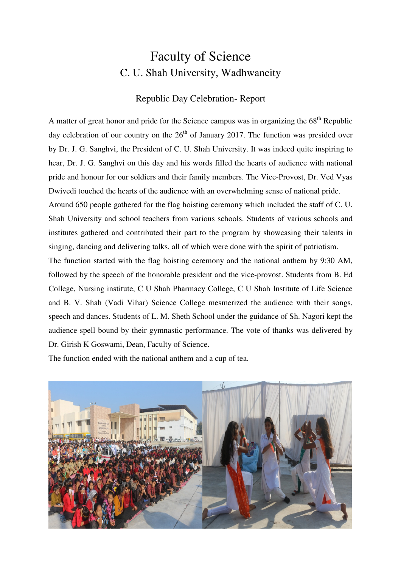## Faculty of Science C. U. Shah University, Wadhwancity

## Republic Day Celebration- Report

A matter of great honor and pride for the Science campus was in organizing the  $68<sup>th</sup>$  Republic day celebration of our country on the  $26<sup>th</sup>$  of January 2017. The function was presided over by Dr. J. G. Sanghvi, the President of C. U. Shah University. It was indeed quite inspiring to hear, Dr. J. G. Sanghvi on this day and his words filled the hearts of audience with national pride and honour for our soldiers and their family members. The Vice-Provost, Dr. Ved Vyas Dwivedi touched the hearts of the audience with an overwhelming sense of national pride. Around 650 people gathered for the flag hoisting ceremony which included the staff of C. U. Shah University and school teachers from various schools. Students of various schools and institutes gathered and contributed their part to the program by showcasing their talents in singing, dancing and delivering talks, all of which were done with the spirit of patriotism. The function started with the flag hoisting ceremony and the national anthem by 9:30 AM, followed by the speech of the honorable president and the vice-provost. Students from B. Ed College, Nursing institute, C U Shah Pharmacy College, C U Shah Institute of Life Science and B. V. Shah (Vadi Vihar) Science College mesmerized the audience with their songs, speech and dances. Students of L. M. Sheth School under the guidance of Sh. Nagori kept the audience spell bound by their gymnastic performance. The vote of thanks was delivered by Dr. Girish K Goswami, Dean, Faculty of Science.

The function ended with the national anthem and a cup of tea.